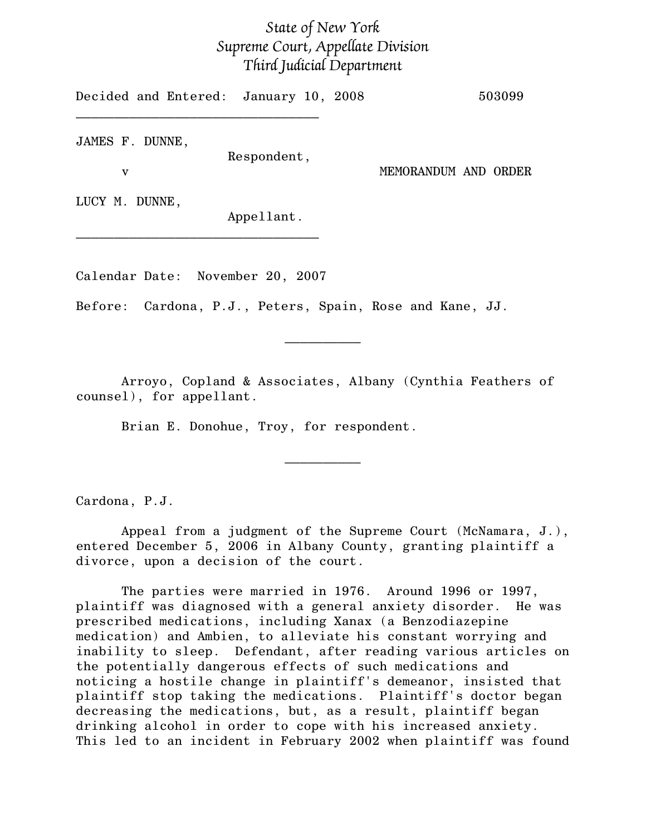## State of New York Supreme Court, Appellate Division Third Judicial Department

Decided and Entered: January 10, 2008 503099  $\mathcal{L}=\{1,2,3,4,5\}$ JAMES F. DUNNE,

Respondent,

v MEMORANDUM AND ORDER

LUCY M. DUNNE,

Appellant.

Calendar Date: November 20, 2007

 $\mathcal{L}=\{1,2,3,4,5\}$ 

Before: Cardona, P.J., Peters, Spain, Rose and Kane, JJ.

Arroyo, Copland & Associates, Albany (Cynthia Feathers of counsel), for appellant.

 $\frac{1}{2}$ 

Brian E. Donohue, Troy, for respondent.

Cardona, P.J.

Appeal from a judgment of the Supreme Court (McNamara, J.), entered December 5, 2006 in Albany County, granting plaintiff a divorce, upon a decision of the court.

 $\frac{1}{2}$ 

The parties were married in 1976. Around 1996 or 1997, plaintiff was diagnosed with a general anxiety disorder. He was prescribed medications, including Xanax (a Benzodiazepine medication) and Ambien, to alleviate his constant worrying and inability to sleep. Defendant, after reading various articles on the potentially dangerous effects of such medications and noticing a hostile change in plaintiff's demeanor, insisted that plaintiff stop taking the medications. Plaintiff's doctor began decreasing the medications, but, as a result, plaintiff began drinking alcohol in order to cope with his increased anxiety. This led to an incident in February 2002 when plaintiff was found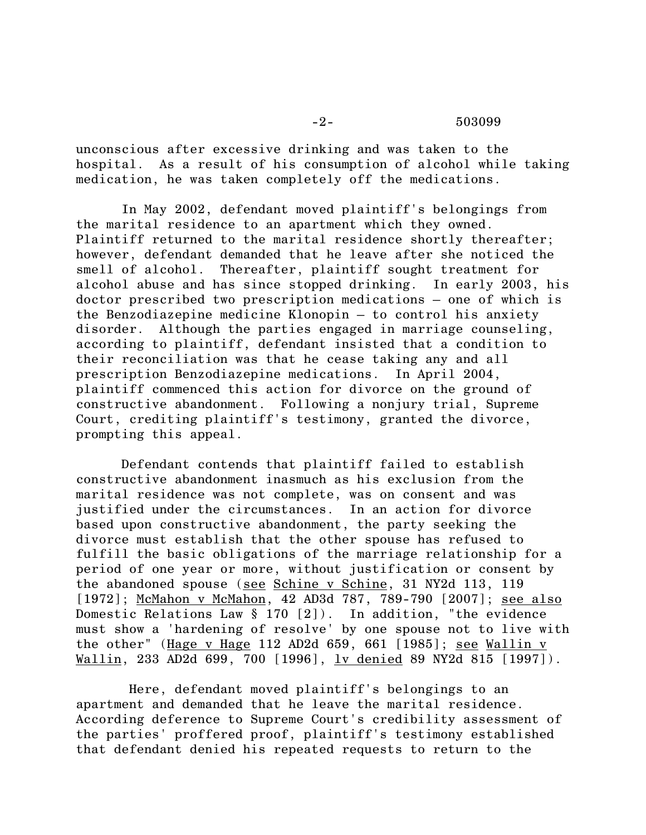-2- 503099

unconscious after excessive drinking and was taken to the hospital. As a result of his consumption of alcohol while taking medication, he was taken completely off the medications.

In May 2002, defendant moved plaintiff's belongings from the marital residence to an apartment which they owned. Plaintiff returned to the marital residence shortly thereafter; however, defendant demanded that he leave after she noticed the smell of alcohol. Thereafter, plaintiff sought treatment for alcohol abuse and has since stopped drinking. In early 2003, his doctor prescribed two prescription medications – one of which is the Benzodiazepine medicine Klonopin – to control his anxiety disorder. Although the parties engaged in marriage counseling, according to plaintiff, defendant insisted that a condition to their reconciliation was that he cease taking any and all prescription Benzodiazepine medications. In April 2004, plaintiff commenced this action for divorce on the ground of constructive abandonment. Following a nonjury trial, Supreme Court, crediting plaintiff's testimony, granted the divorce, prompting this appeal.

Defendant contends that plaintiff failed to establish constructive abandonment inasmuch as his exclusion from the marital residence was not complete, was on consent and was justified under the circumstances. In an action for divorce based upon constructive abandonment, the party seeking the divorce must establish that the other spouse has refused to fulfill the basic obligations of the marriage relationship for a period of one year or more, without justification or consent by the abandoned spouse (see Schine v Schine, 31 NY2d 113, 119 [1972]; McMahon v McMahon, 42 AD3d 787, 789-790 [2007]; see also Domestic Relations Law § 170 [2]). In addition, "the evidence must show a 'hardening of resolve' by one spouse not to live with the other" (Hage v Hage 112 AD2d 659, 661 [1985]; see Wallin v Wallin, 233 AD2d 699, 700 [1996], <u>lv denied</u> 89 NY2d 815 [1997]).

 Here, defendant moved plaintiff's belongings to an apartment and demanded that he leave the marital residence. According deference to Supreme Court's credibility assessment of the parties' proffered proof, plaintiff's testimony established that defendant denied his repeated requests to return to the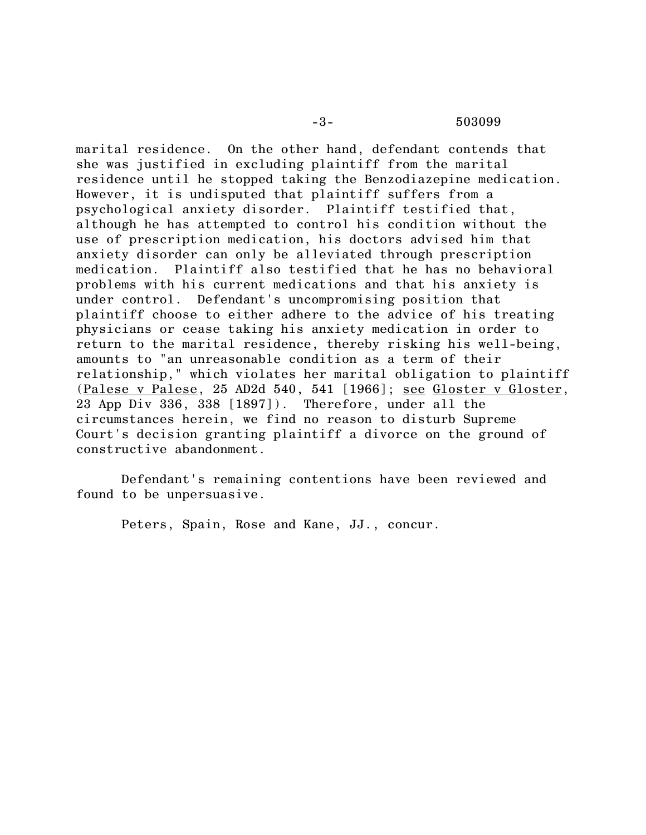-3- 503099

marital residence. On the other hand, defendant contends that she was justified in excluding plaintiff from the marital residence until he stopped taking the Benzodiazepine medication. However, it is undisputed that plaintiff suffers from a psychological anxiety disorder. Plaintiff testified that, although he has attempted to control his condition without the use of prescription medication, his doctors advised him that anxiety disorder can only be alleviated through prescription medication. Plaintiff also testified that he has no behavioral problems with his current medications and that his anxiety is under control. Defendant's uncompromising position that plaintiff choose to either adhere to the advice of his treating physicians or cease taking his anxiety medication in order to return to the marital residence, thereby risking his well-being, amounts to "an unreasonable condition as a term of their relationship," which violates her marital obligation to plaintiff (Palese v Palese, 25 AD2d 540, 541 [1966]; see Gloster v Gloster, 23 App Div 336, 338 [1897]). Therefore, under all the circumstances herein, we find no reason to disturb Supreme Court's decision granting plaintiff a divorce on the ground of constructive abandonment.

Defendant's remaining contentions have been reviewed and found to be unpersuasive.

Peters, Spain, Rose and Kane, JJ., concur.